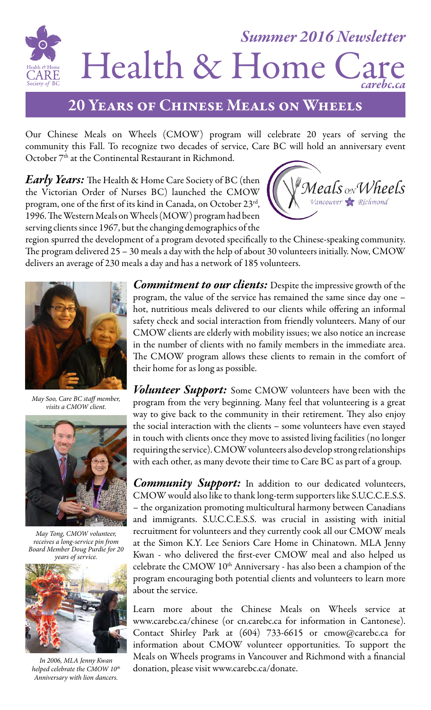

### 20 Years of Chinese Meals on Wheels

Our Chinese Meals on Wheels (CMOW) program will celebrate 20 years of serving the community this Fall. To recognize two decades of service, Care BC will hold an anniversary event October 7<sup>th</sup> at the Continental Restaurant in Richmond.

*Early Years:* The Health & Home Care Society of BC (then the Victorian Order of Nurses BC) launched the CMOW program, one of the first of its kind in Canada, on October 23rd, 1996. The Western Meals on Wheels (MOW) program had been serving clients since 1967, but the changing demographics of the



region spurred the development of a program devoted specifically to the Chinese-speaking community. The program delivered 25 – 30 meals a day with the help of about 30 volunteers initially. Now, CMOW delivers an average of 230 meals a day and has a network of 185 volunteers.



*May Soo, Care BC staff member, visits a CMOW client.*



*May Tong, CMOW volunteer, receives a long-service pin from Board Member Doug Purdie for 20 years of service.*



*In 2006, MLA Jenny Kwan helped celebrate the CMOW 10<sup>th</sup> Anniversary with lion dancers.*

*Commitment to our clients:* Despite the impressive growth of the program, the value of the service has remained the same since day one – hot, nutritious meals delivered to our clients while offering an informal safety check and social interaction from friendly volunteers. Many of our CMOW clients are elderly with mobility issues; we also notice an increase in the number of clients with no family members in the immediate area. The CMOW program allows these clients to remain in the comfort of their home for as long as possible.

*Volunteer Support:* Some CMOW volunteers have been with the program from the very beginning. Many feel that volunteering is a great way to give back to the community in their retirement. They also enjoy the social interaction with the clients – some volunteers have even stayed in touch with clients once they move to assisted living facilities (no longer requiring the service). CMOW volunteers also develop strong relationships with each other, as many devote their time to Care BC as part of a group.

*Community Support:* In addition to our dedicated volunteers, CMOW would also like to thank long-term supporters like S.U.C.C.E.S.S. – the organization promoting multicultural harmony between Canadians and immigrants. S.U.C.C.E.S.S. was crucial in assisting with initial recruitment for volunteers and they currently cook all our CMOW meals at the Simon K.Y. Lee Seniors Care Home in Chinatown. MLA Jenny Kwan - who delivered the first-ever CMOW meal and also helped us celebrate the CMOW 10<sup>th</sup> Anniversary - has also been a champion of the program encouraging both potential clients and volunteers to learn more about the service.

Learn more about the Chinese Meals on Wheels service at www.carebc.ca/chinese (or cn.carebc.ca for information in Cantonese). Contact Shirley Park at (604) 733-6615 or cmow@carebc.ca for information about CMOW volunteer opportunities. To support the Meals on Wheels programs in Vancouver and Richmond with a financial donation, please visit www.carebc.ca/donate.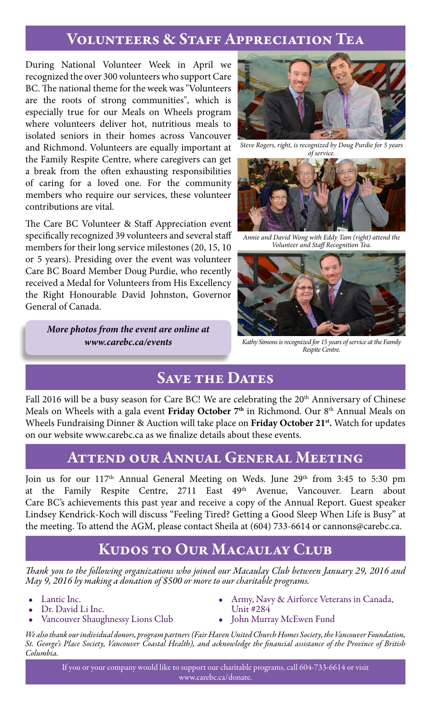### Volunteers & Staff Appreciation Tea

During National Volunteer Week in April we recognized the over 300 volunteers who support Care BC. The national theme for the week was "Volunteers are the roots of strong communities", which is especially true for our Meals on Wheels program where volunteers deliver hot, nutritious meals to isolated seniors in their homes across Vancouver and Richmond. Volunteers are equally important at the Family Respite Centre, where caregivers can get a break from the often exhausting responsibilities of caring for a loved one. For the community members who require our services, these volunteer contributions are vital.

The Care BC Volunteer & Staff Appreciation event specifically recognized 39 volunteers and several staff members for their long service milestones (20, 15, 10) or 5 years). Presiding over the event was volunteer Care BC Board Member Doug Purdie, who recently received a Medal for Volunteers from His Excellency the Right Honourable David Johnston, Governor General of Canada.

> *More photos from the event are online at www.carebc.ca/events*



*Steve Rogers, right, is recognized by Doug Purdie for 5 years of service.*



*Annie and David Wong with Eddy Tam (right) attend the Volunteer and Staff Recognition Tea.*



*Kathy Simons is recognized for 15 years of service at the Family Respite Centre.*

## **SAVE THE DATES**

Fall 2016 will be a busy season for Care BC! We are celebrating the 20<sup>th</sup> Anniversary of Chinese Meals on Wheels with a gala event **Friday October 7th** in Richmond. Our 8th Annual Meals on Wheels Fundraising Dinner & Auction will take place on **Friday October 21st.** Watch for updates on our website www.carebc.ca as we finalize details about these events.

## Attend our Annual General Meeting

Join us for our 117<sup>th</sup> Annual General Meeting on Weds. June 29<sup>th</sup> from 3:45 to 5:30 pm at the Family Respite Centre, 2711 East 49<sup>th</sup> Avenue, Vancouver. Learn about Care BC's achievements this past year and receive a copy of the Annual Report. Guest speaker Lindsey Kendrick-Koch will discuss "Feeling Tired? Getting a Good Sleep When Life is Busy" at the meeting. To attend the AGM, please contact Sheila at (604) 733-6614 or cannons@carebc.ca.

## Kudos to Our Macaulay Club

*Thank you to the following organizations who joined our Macaulay Club between January 29, 2016 and May 9, 2016 by making a donation of \$500 or more to our charitable programs.*

- Lantic Inc.
- Dr. David Li Inc.
- Vancouver Shaughnessy Lions Club
- Army, Navy & Airforce Veterans in Canada, Unit #284
- John Murray McEwen Fund

*We also thank our individual donors, program partners (Fair Haven United Church Homes Society, the Vancouver Foundation, St. George's Place Society, Vancouver Coastal Health), and acknowledge the financial assistance of the Province of British Columbia.*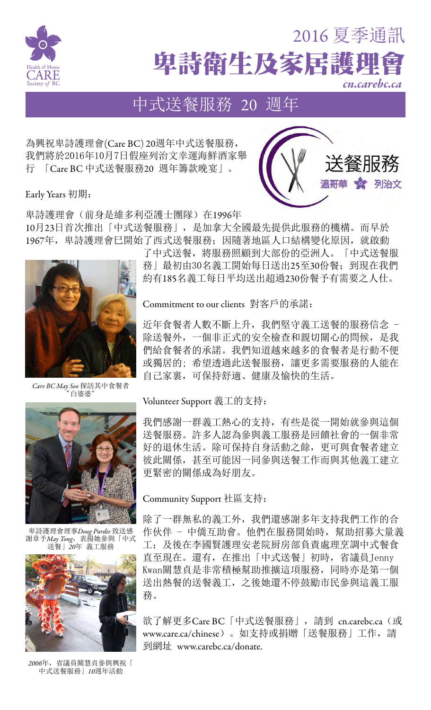

# 卑詩衛生及家居護理 2016 夏季通訊 *cn.carebc.ca*

送餐服務

溫哥華 \* 列治文

# 中式送餐服務 20 週年

為興祝卑詩護理會(Care BC) 20週年中式送餐服務, 我們將於2016年10月7日假座列治文幸運海鮮酒家舉 行 「Care BC 中式送餐服務20 週年籌款晚宴」。

Early Years 初期:

卑詩護理會(前身是維多利亞護士團隊)在1996年 10月23日首次推出「中式送餐服務」,是加拿大全國最先提供此服務的機構。而早於 1967年,卑詩護理會巳開始了西式送餐服務;因隨著地區人口結構變化原因,就啟動



*Care BC May Soo* 探訪其中食餐者 白婆婆



卑詩護理會理事*Doug Purdie* 致送感 謝章予*May Tong*,表揚她參與「中式 送餐」*20*年 義工服務



*2006*年,省議員關慧貞參與興祝「 中式送餐服務」*10*週年活動

了中式送餐,將服務照顧到大部份的亞洲人。「中式送餐服 務」最初由30名義工開始每日送出25至30份餐;到現在我們 約有185名義工每日平均送出超過230份餐予有需要之人仕。

Commitment to our clients 對客戶的承諾:

近年食餐者人數不斷上升,我們堅守義工送餐的服務信念 -除送餐外,一個非正式的安全檢查和親切關心的問候,是我 們給食餐者的承諾。我們知道越來越多的食餐者是行動不便 或獨居的; 希望透過此送餐服務, 讓更多需要服務的人能在 自己家裏,可保持舒適、健康及愉快的生活。

#### Volunteer Support 義工的支持:

我們感謝一群義工熱心的支持,有些是從一開始就參與這個 送餐服務。許多人認為參與義工服務是回饋社會的一個非常 好的退休生活。除可保持自身活動之餘,更可與食餐者建立 彼此關係,甚至可能因一同參與送餐工作而與其他義工建立 更緊密的關係成為好朋友。

#### Community Support 社區支持:

除了一群無私的義工外,我們還感謝多年支持我們工作的合 作伙伴 - 中僑互助會。他們在服務開始時,幫助招募大量義 工;及後在李國賢護理安老院厨房部負責處理烹調中式餐食 直至現在。還有,在推出「中式送餐」初時,省議員Jenny Kwan關慧貞是非常積極幫助推擴這項服務,同時亦是第一個 送出熱餐的送餐義工,之後她還不停鼓勵市民參與這義工服 務。

欲了解更多Care BC「中式送餐服務」, 請到 cn.carebc.ca (或 www.care.ca/chinese)。如支持或捐贈「送餐服務」工作,請 到網址 www.carebc.ca/donate.